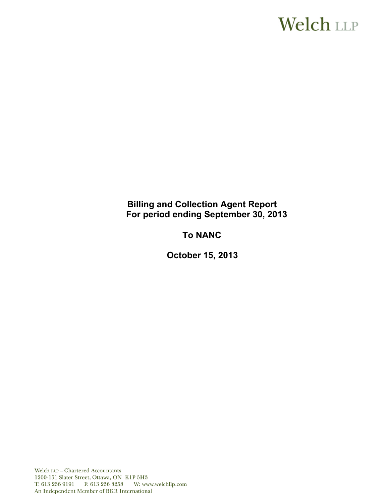# **Welch LLP**

# **Billing and Collection Agent Report For period ending September 30, 2013**

# **To NANC**

**October 15, 2013**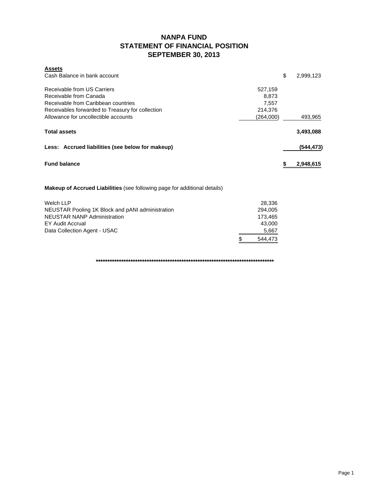### **NANPA FUND STATEMENT OF FINANCIAL POSITION SEPTEMBER 30, 2013**

| <b>Assets</b><br>Cash Balance in bank account    |           | \$ | 2,999,123 |
|--------------------------------------------------|-----------|----|-----------|
|                                                  |           |    |           |
| Receivable from US Carriers                      | 527,159   |    |           |
| Receivable from Canada                           | 8,873     |    |           |
| Receivable from Caribbean countries              | 7,557     |    |           |
| Receivables forwarded to Treasury for collection | 214,376   |    |           |
| Allowance for uncollectible accounts             | (264,000) |    | 493,965   |
| <b>Total assets</b>                              |           |    | 3,493,088 |
| Less: Accrued liabilities (see below for makeup) |           |    | (544,473) |
| <b>Fund balance</b>                              |           | S  | 2,948,615 |
|                                                  |           |    |           |

**Makeup of Accrued Liabilities** (see following page for additional details)

| Welch LLP                                        | 28.336        |
|--------------------------------------------------|---------------|
| NEUSTAR Pooling 1K Block and pANI administration | 294.005       |
| <b>NEUSTAR NANP Administration</b>               | 173.465       |
| EY Audit Accrual                                 | 43.000        |
| Data Collection Agent - USAC                     | 5,667         |
|                                                  | \$<br>544.473 |

**\*\*\*\*\*\*\*\*\*\*\*\*\*\*\*\*\*\*\*\*\*\*\*\*\*\*\*\*\*\*\*\*\*\*\*\*\*\*\*\*\*\*\*\*\*\*\*\*\*\*\*\*\*\*\*\*\*\*\*\*\*\*\*\*\*\*\*\*\*\*\*\*\*\*\*\*\***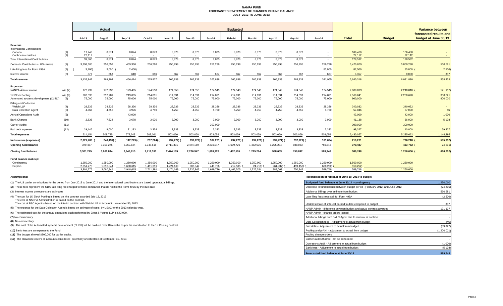#### **NANPA FUND FORECASTED STATEMENT OF CHANGES IN FUND BALANCE JULY 2012 TO JUNE 2013**

| <b>Budgeted</b><br><b>Total</b><br><b>Budget</b><br>Jul-13<br>Aug-13<br>Sep-13<br>Oct-13<br>$Jan-14$<br>Feb-14<br>Mar-14<br><b>Jun-14</b><br>Nov-13<br>Dec-13<br>Apr-14<br>May-14<br>Revenue                                                                                                                                                                                  | Variance between<br>forecasted results and<br>budget at June 30/13 |
|-------------------------------------------------------------------------------------------------------------------------------------------------------------------------------------------------------------------------------------------------------------------------------------------------------------------------------------------------------------------------------|--------------------------------------------------------------------|
|                                                                                                                                                                                                                                                                                                                                                                               |                                                                    |
| <b>International Contributions</b>                                                                                                                                                                                                                                                                                                                                            |                                                                    |
| 8,874<br>8,874<br>8,873<br>8,873<br>8,873<br>8,873<br>8,873<br>8,873<br>8,873<br>8,873<br>106,480<br>106,480<br>Canada<br>(1)<br>17,748<br>(1)<br>22,112<br>22,112<br>Caribbean countries<br>22,112<br>$\sim$<br>$\sim$<br>$\sim$<br>. .<br>$\sim$<br>$\overline{\phantom{a}}$                                                                                                |                                                                    |
| 8,873<br>8,873<br>128,592<br><b>Total International Contributions</b><br>8,874<br>8,874<br>8,873<br>8,873<br>8,873<br>8,873<br>8,873<br>8,873<br>128,592<br>39,860                                                                                                                                                                                                            |                                                                    |
| 256,298<br>459,330<br>256,298<br>256,298<br>256,298<br>256,298<br>256,298<br>256,298<br>256,298<br>6,420,869<br>5,860,288<br>Domestic Contributions - US carriers<br>(1)<br>3,398,305<br>256,552<br>256,298                                                                                                                                                                   | 560,581                                                            |
| 85,000<br>Late filing fees for Form 499A<br>(2)<br>3,100<br>3,000<br>2,400)<br>82,500<br>85,000 (                                                                                                                                                                                                                                                                             | 2,500                                                              |
| 666<br>868<br>667<br>667<br>667<br>667<br>667<br>667<br>8,357<br>8,000<br>(3)<br>877<br>610<br>667<br>667<br>Interest income                                                                                                                                                                                                                                                  | 357                                                                |
| 265,838<br>265,838<br>269,294<br>466,414<br>265,837<br>265,838<br>265,838<br>265,838<br>265,838<br>265,838<br>341,965<br>6,640,318<br>6,081,880<br><b>Total revenue</b><br>3.435.942                                                                                                                                                                                          | 558,438                                                            |
| <b>Expenses</b><br><b>NANPA Administration</b><br>172,232<br>174,550<br>174,550<br>2,088,873<br>2,210,010 (<br>(4), (7)<br>172,232<br>173,465<br>174,550<br>174,549<br>174,549<br>174,549<br>174,549<br>174,549<br>174,549                                                                                                                                                    | 121,137)                                                           |
| 1K Block Pooling<br>212,781<br>219,005<br>214,091<br>214,091<br>214,091<br>214,091<br>2,560,641<br>2,260,620<br>(4), (8)<br>202,036<br>214.091<br>214,091<br>214,091<br>214.091<br>214.091<br>75,000<br>75,000<br>75,000<br>Automated systems development (CLIN1)<br>75,000<br>75,000<br>75,000<br>75,000<br>75,000<br>75,000<br>75,000<br>75,000<br>75,000<br>900,000<br>(9) | 300,021<br>900,000                                                 |
| <b>Billing and Collection</b><br>Welch LLP<br>28,336<br>28,336<br>28,336<br>28,336<br>28,336<br>28,336<br>28,336<br>28,336<br>28,336<br>28,336<br>28,336<br>28,336<br>340,032<br>340,032<br>(4)<br>4,750<br>4,750<br>4,750<br>4,750<br>4,750<br>Data Collection Agent<br>(5)<br>4,568<br>4,752<br>4,976<br>4,750<br>4,750<br>4,750<br>4,750<br>57,046<br>57,000               | 46                                                                 |
| 43,000<br>42,000<br><b>Annual Operations Audit</b><br>(6)<br>43,000<br>$\sim$<br>$\sim$<br>$\sim$<br>$\sim$<br>$\sim$<br>$\sim$<br>$\sim$<br>$\sim$                                                                                                                                                                                                                           | 1,000                                                              |
| (10)<br>3,678<br>3,000<br>36,000<br><b>Bank Charges</b><br>2.836<br>7,624<br>3,000<br>3,000<br>3.000<br>3,000<br>3,000<br>3,000<br>3,000<br>3,000<br>41,138                                                                                                                                                                                                                   | 5,138                                                              |
| 300,000<br>300,000<br>300,000<br><b>Carrier Audits</b><br>(11)<br>$\sim$<br>$\overline{\phantom{a}}$<br>$\sim$<br>$\sim$<br>$\sim$<br>ж.<br>$\overline{\phantom{a}}$                                                                                                                                                                                                          |                                                                    |
| (12)<br>9,000<br>31,183<br>3,334<br>3,333<br>3,333<br>3,333<br>3,333<br>3,333<br>3,333<br>3,333<br>3,333<br>99,327<br>40,000<br>Bad debt expense<br>29,146                                                                                                                                                                                                                    | 59,327                                                             |
| 5,285,662<br>509,725<br>578,643<br>803,059<br>503,059<br>503,059<br>503,059<br>6,430,057<br>503,061<br>503,060<br>503,060<br>503,059<br>503,059<br>514,154<br><b>Total expenses</b>                                                                                                                                                                                           | 1,144,395                                                          |
| 161,094)<br>210,261<br>796,218 (<br>2,921,788<br>240,431) (<br>112,229)<br>237,224) (<br>237,222)<br>237,222)<br>537,221)<br>237,221)<br>237,221)<br>237,221)<br>237,221) (<br>Net revenue (expenses)                                                                                                                                                                         | 585,957)                                                           |
| 750,842<br>379,487<br>3,301,275<br>3,060,844<br>2,948,615<br>2,236,947<br>1,699,726<br>1,462,505<br>1,225,284<br>988,063<br>379,487<br>453,782<br>Opening fund balance<br>2,711,391<br>2,474,169                                                                                                                                                                              | 74,295                                                             |
| 3,060,844<br>2,236,947<br>1,225,284<br>988.063<br>750.842<br>589,748<br>589,748<br>1,250,000<br><b>Closing fund balance</b><br>3,301,275<br>2,948,615<br>2,711,391<br>2,474,169<br>1,699,726<br>1,462,505                                                                                                                                                                     | 660,252                                                            |
| Fund balance makeup:<br>1.250.000<br>1,250,000<br>1,250,000<br>1.250.000<br>1,250,000<br>1,250,000<br>1,250,000<br>1,250,000<br>1,250,000<br>1,250,000<br>1,250,000<br>1,250,000<br>1,500,000<br>1,250,000<br>Contingency                                                                                                                                                     |                                                                    |
| 1.810.844<br>1,698,615<br>1,461,391<br>1.224.169<br>986.947<br>449,726<br>212,505<br>24,716)<br>499,158)<br>660,252)<br>910,252)<br>Surplus<br>2,051,275<br>261,937)<br>3,060,844<br>1,699,726<br>3,301,275<br>2,948,615<br>2,711,391<br>2,474,169<br>2,236,947<br>1,462,505<br>1,225,284<br>988,063<br>750,842<br>589,748<br>589,748<br>1,250,000                            |                                                                    |

**(8)** No commentary

#### **Assumptions: Reconciliation of forecast at June 30, 2014 to budget**

| (1) The US carrier contributions for the period from July 2013 to June 2014 and the International contributions are based upon actual billings.                      | Budgeted fund balance at June 30/14 - contingency                            | 1,250,000<br>(74, 295) |  |
|----------------------------------------------------------------------------------------------------------------------------------------------------------------------|------------------------------------------------------------------------------|------------------------|--|
| (2) These fees represent the \$100 late filing fee charged to those companies that do not file the Form 499A by the due date.                                        | Decrease in fund balance between budget period (February 2012) and June 2012 |                        |  |
| (3) Interest income projections are estimates                                                                                                                        | Additional billings over estimate from budget                                | 560,581                |  |
| (4) The cost for 1K Block Pooling is based on the contract awarded July 12, 2013                                                                                     | Late filing fees (reversal) for Form 499A                                    | (2,500)                |  |
| The cost of NANPA Administration is based on the contract.<br>The cost of B&C Agent is based on the interim contract with Welch LLP in force until November 30, 2013 | Underestimate of interest earned to date compared to budget                  | 357                    |  |
| (5) The expense for the Data Collection Agent is based on estimate of costs by USAC for the 2013 calendar year.                                                      | NANP Admin - difference between budget and actual contract awarded           | 121,137                |  |
| (6) The estimated cost for the annual operations audit performed by Ernst & Young LLP is \$43,000.                                                                   | NANP Admin - change orders issued                                            |                        |  |
| (7) No commentary                                                                                                                                                    | Additional billings from B & C Agent due to renewal of contract              |                        |  |
| (8) No commentary                                                                                                                                                    | Data Collection fees - Adjustment to actual from budget                      | (46)                   |  |
| (9) The cost of the Automated systems development (CLIN1) will be paid out over 18 months as per the modification to the 1K Pooling contract.                        | Bad debts - Adiustment to actual from budget                                 | (59, 327)              |  |
| (10) Bank fees are an expense to the Fund.                                                                                                                           | Pooling and p-ANI - adjustment to actual from budget                         | (1.200.021)            |  |
| (11) The budget allowed \$300,000 for carrier audits.                                                                                                                | Pooling change orders                                                        |                        |  |
| (12) The allowance covers all accounts considered potentially uncollectible at September 30, 2013.                                                                   | Carrier audits that will not be performed                                    |                        |  |
|                                                                                                                                                                      | Operations Audit - Adjustment to actual from budget                          | (1,000)                |  |
|                                                                                                                                                                      | Bank fees - Adjustment to actual from budget                                 | (5, 138)               |  |
|                                                                                                                                                                      | Forecasted fund balance at June 30/14                                        | 589,748                |  |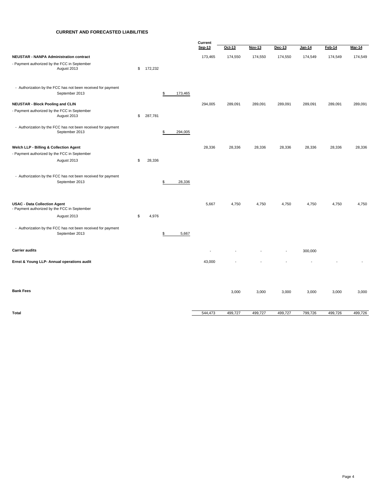#### **CURRENT AND FORECASTED LIABILITIES**

|                                                                                     |               |               | Current                  |          |         |         |               |         |         |
|-------------------------------------------------------------------------------------|---------------|---------------|--------------------------|----------|---------|---------|---------------|---------|---------|
|                                                                                     |               |               | Sep-13                   | $Oct-13$ | Nov-13  | Dec-13  | <u>Jan-14</u> | Feb-14  | Mar-14  |
| <b>NEUSTAR - NANPA Administration contract</b>                                      |               |               | 173,465                  | 174,550  | 174,550 | 174,550 | 174,549       | 174,549 | 174,549 |
| - Payment authorized by the FCC in September<br>August 2013                         | \$<br>172,232 |               |                          |          |         |         |               |         |         |
| - Authorization by the FCC has not been received for payment<br>September 2013      |               | \$<br>173,465 |                          |          |         |         |               |         |         |
| <b>NEUSTAR - Block Pooling and CLIN</b>                                             |               |               | 294,005                  | 289,091  | 289,091 | 289,091 | 289,091       | 289,091 | 289,091 |
| - Payment authorized by the FCC in September<br>August 2013                         | \$<br>287,781 |               |                          |          |         |         |               |         |         |
| - Authorization by the FCC has not been received for payment<br>September 2013      |               | \$<br>294,005 |                          |          |         |         |               |         |         |
| Welch LLP - Billing & Collection Agent                                              |               |               | 28,336                   | 28,336   | 28,336  | 28,336  | 28,336        | 28,336  | 28,336  |
| - Payment authorized by the FCC in September<br>August 2013                         | \$<br>28,336  |               |                          |          |         |         |               |         |         |
| - Authorization by the FCC has not been received for payment<br>September 2013      |               | \$<br>28,336  |                          |          |         |         |               |         |         |
| <b>USAC - Data Collection Agent</b><br>- Payment authorized by the FCC in September |               |               | 5,667                    | 4,750    | 4,750   | 4,750   | 4,750         | 4,750   | 4,750   |
| August 2013                                                                         | \$<br>4,976   |               |                          |          |         |         |               |         |         |
| - Authorization by the FCC has not been received for payment<br>September 2013      |               | \$<br>5,667   |                          |          |         |         |               |         |         |
| <b>Carrier audits</b>                                                               |               |               | $\overline{\phantom{a}}$ |          |         | $\sim$  | 300,000       |         |         |
| Ernst & Young LLP- Annual operations audit                                          |               |               | 43,000                   |          |         |         |               |         |         |
| <b>Bank Fees</b>                                                                    |               |               |                          |          |         |         |               |         |         |
|                                                                                     |               |               |                          | 3,000    | 3,000   | 3,000   | 3,000         | 3,000   | 3,000   |
| Total                                                                               |               |               | 544,473                  | 499,727  | 499,727 | 499,727 | 799,726       | 499,726 | 499,726 |